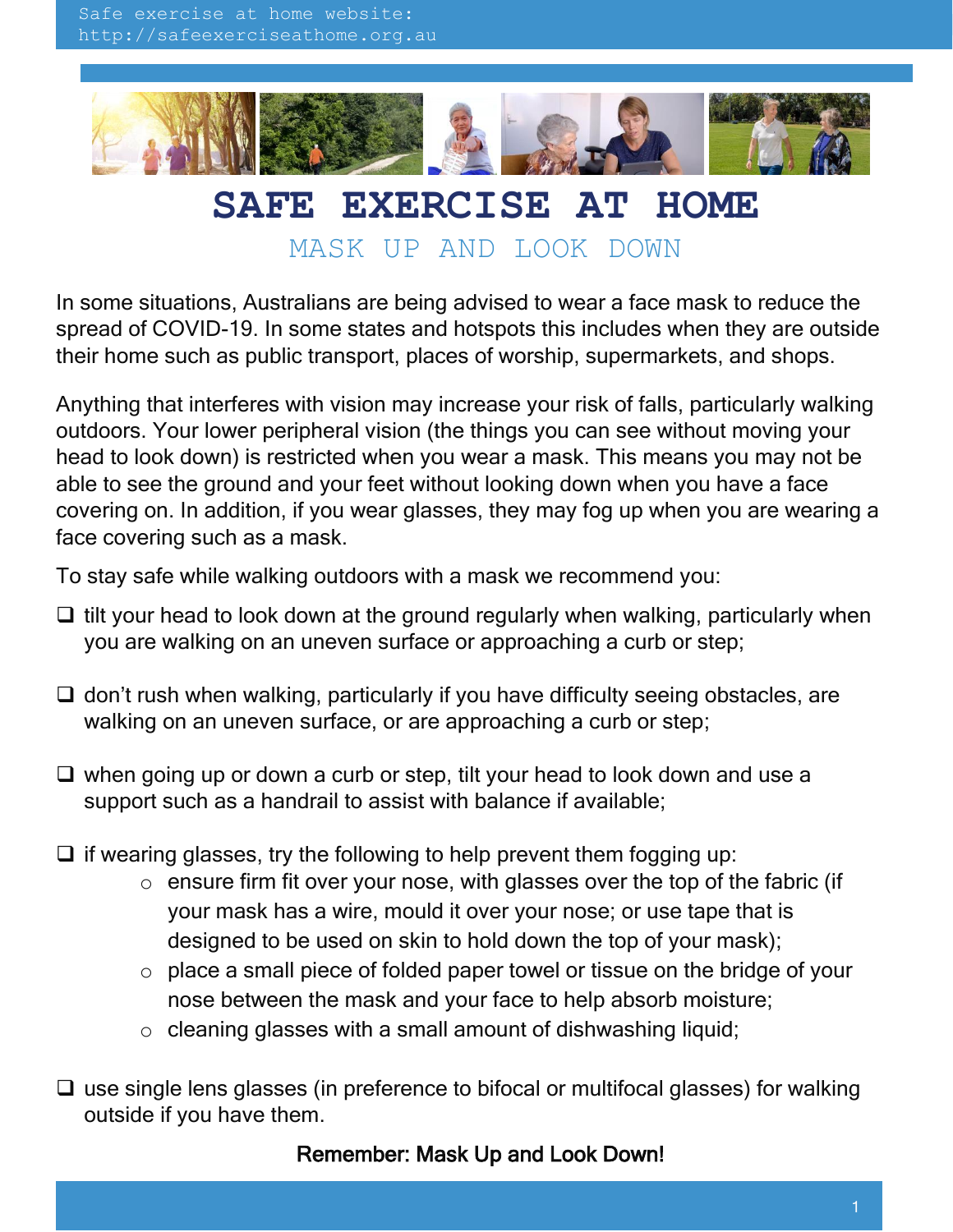

## **SAFE EXERCISE AT HOME**

MASK UP AND LOOK DOWN

In some situations, Australians are being advised to wear a face mask to reduce the spread of COVID-19. In some states and hotspots this includes when they are outside their home such as public transport, places of worship, supermarkets, and shops.

Anything that interferes with vision may increase your risk of falls, particularly walking outdoors. Your lower peripheral vision (the things you can see without moving your head to look down) is restricted when you wear a mask. This means you may not be able to see the ground and your feet without looking down when you have a face covering on. In addition, if you wear glasses, they may fog up when you are wearing a face covering such as a mask.

To stay safe while walking outdoors with a mask we recommend you:

- $\Box$  tilt your head to look down at the ground regularly when walking, particularly when you are walking on an uneven surface or approaching a curb or step;
- $\Box$  don't rush when walking, particularly if you have difficulty seeing obstacles, are walking on an uneven surface, or are approaching a curb or step;
- $\Box$  when going up or down a curb or step, tilt your head to look down and use a support such as a handrail to assist with balance if available;
- $\Box$  if wearing glasses, try the following to help prevent them fogging up:
	- $\circ$  ensure firm fit over your nose, with glasses over the top of the fabric (if your mask has a wire, mould it over your nose; or use tape that is designed to be used on skin to hold down the top of your mask);
	- o place a small piece of folded paper towel or tissue on the bridge of your nose between the mask and your face to help absorb moisture;
	- $\circ$  cleaning glasses with a small amount of dishwashing liquid;
- $\Box$  use single lens glasses (in preference to bifocal or multifocal glasses) for walking outside if you have them.

## Remember: Mask Up and Look Down!